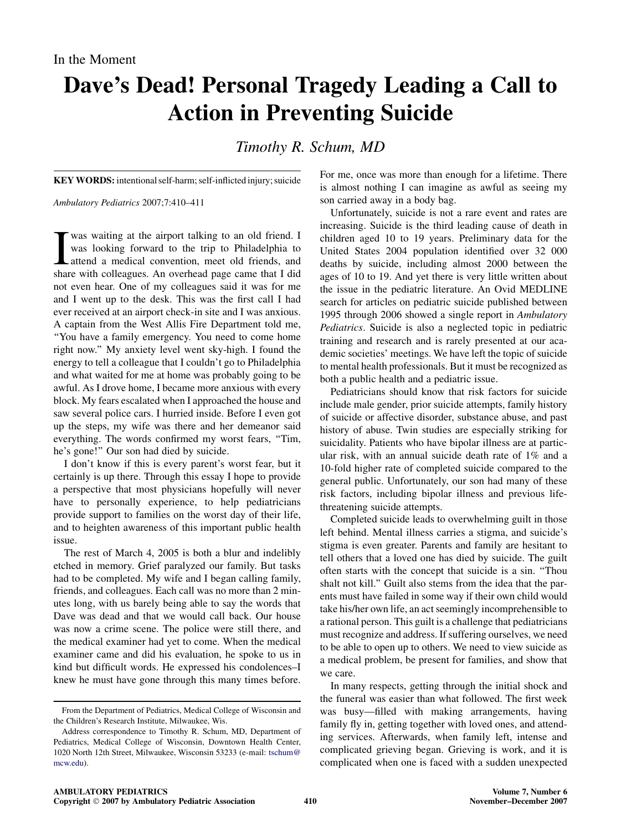## Dave's Dead! Personal Tragedy Leading a Call to Action in Preventing Suicide

Timothy R. Schum, MD

KEY WORDS: intentional self-harm; self-inflicted injury; suicide

Ambulatory Pediatrics 2007;7:410–411

I was waiting at the airport talking to an old friend. I was looking forward to the trip to Philadelphia to attend a medical convention, meet old friends, and share with colleagues. An overhead page came that I did was waiting at the airport talking to an old friend. I was looking forward to the trip to Philadelphia to attend a medical convention, meet old friends, and not even hear. One of my colleagues said it was for me and I went up to the desk. This was the first call I had ever received at an airport check-in site and I was anxious. A captain from the West Allis Fire Department told me, ''You have a family emergency. You need to come home right now.'' My anxiety level went sky-high. I found the energy to tell a colleague that I couldn't go to Philadelphia and what waited for me at home was probably going to be awful. As I drove home, I became more anxious with every block. My fears escalated when I approached the house and saw several police cars. I hurried inside. Before I even got up the steps, my wife was there and her demeanor said everything. The words confirmed my worst fears, ''Tim, he's gone!'' Our son had died by suicide.

I don't know if this is every parent's worst fear, but it certainly is up there. Through this essay I hope to provide a perspective that most physicians hopefully will never have to personally experience, to help pediatricians provide support to families on the worst day of their life, and to heighten awareness of this important public health issue.

The rest of March 4, 2005 is both a blur and indelibly etched in memory. Grief paralyzed our family. But tasks had to be completed. My wife and I began calling family, friends, and colleagues. Each call was no more than 2 minutes long, with us barely being able to say the words that Dave was dead and that we would call back. Our house was now a crime scene. The police were still there, and the medical examiner had yet to come. When the medical examiner came and did his evaluation, he spoke to us in kind but difficult words. He expressed his condolences–I knew he must have gone through this many times before.

For me, once was more than enough for a lifetime. There is almost nothing I can imagine as awful as seeing my son carried away in a body bag.

Unfortunately, suicide is not a rare event and rates are increasing. Suicide is the third leading cause of death in children aged 10 to 19 years. Preliminary data for the United States 2004 population identified over 32 000 deaths by suicide, including almost 2000 between the ages of 10 to 19. And yet there is very little written about the issue in the pediatric literature. An Ovid MEDLINE search for articles on pediatric suicide published between 1995 through 2006 showed a single report in Ambulatory Pediatrics. Suicide is also a neglected topic in pediatric training and research and is rarely presented at our academic societies' meetings. We have left the topic of suicide to mental health professionals. But it must be recognized as both a public health and a pediatric issue.

Pediatricians should know that risk factors for suicide include male gender, prior suicide attempts, family history of suicide or affective disorder, substance abuse, and past history of abuse. Twin studies are especially striking for suicidality. Patients who have bipolar illness are at particular risk, with an annual suicide death rate of 1% and a 10-fold higher rate of completed suicide compared to the general public. Unfortunately, our son had many of these risk factors, including bipolar illness and previous lifethreatening suicide attempts.

Completed suicide leads to overwhelming guilt in those left behind. Mental illness carries a stigma, and suicide's stigma is even greater. Parents and family are hesitant to tell others that a loved one has died by suicide. The guilt often starts with the concept that suicide is a sin. ''Thou shalt not kill.'' Guilt also stems from the idea that the parents must have failed in some way if their own child would take his/her own life, an act seemingly incomprehensible to a rational person. This guilt is a challenge that pediatricians must recognize and address. If suffering ourselves, we need to be able to open up to others. We need to view suicide as a medical problem, be present for families, and show that we care.

In many respects, getting through the initial shock and the funeral was easier than what followed. The first week was busy—filled with making arrangements, having family fly in, getting together with loved ones, and attending services. Afterwards, when family left, intense and complicated grieving began. Grieving is work, and it is complicated when one is faced with a sudden unexpected

From the Department of Pediatrics, Medical College of Wisconsin and the Children's Research Institute, Milwaukee, Wis.

Address correspondence to Timothy R. Schum, MD, Department of Pediatrics, Medical College of Wisconsin, Downtown Health Center, 1020 North 12th Street, Milwaukee, Wisconsin 53233 (e-mail: [tschum@](mailto:tschum@mcw.edu) [mcw.edu\)](mailto:tschum@mcw.edu).